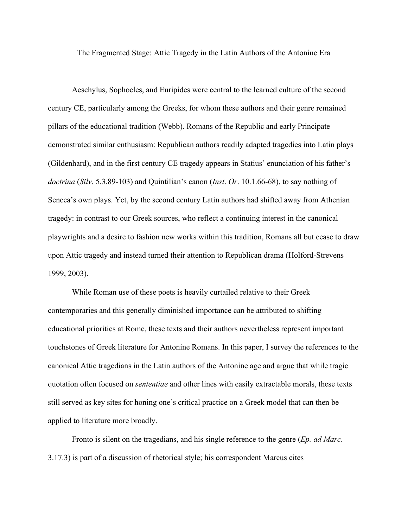The Fragmented Stage: Attic Tragedy in the Latin Authors of the Antonine Era

Aeschylus, Sophocles, and Euripides were central to the learned culture of the second century CE, particularly among the Greeks, for whom these authors and their genre remained pillars of the educational tradition (Webb). Romans of the Republic and early Principate demonstrated similar enthusiasm: Republican authors readily adapted tragedies into Latin plays (Gildenhard), and in the first century CE tragedy appears in Statius' enunciation of his father's *doctrina* (*Silv*. 5.3.89-103) and Quintilian's canon (*Inst*. *Or*. 10.1.66-68), to say nothing of Seneca's own plays. Yet, by the second century Latin authors had shifted away from Athenian tragedy: in contrast to our Greek sources, who reflect a continuing interest in the canonical playwrights and a desire to fashion new works within this tradition, Romans all but cease to draw upon Attic tragedy and instead turned their attention to Republican drama (Holford-Strevens 1999, 2003).

While Roman use of these poets is heavily curtailed relative to their Greek contemporaries and this generally diminished importance can be attributed to shifting educational priorities at Rome, these texts and their authors nevertheless represent important touchstones of Greek literature for Antonine Romans. In this paper, I survey the references to the canonical Attic tragedians in the Latin authors of the Antonine age and argue that while tragic quotation often focused on *sententiae* and other lines with easily extractable morals, these texts still served as key sites for honing one's critical practice on a Greek model that can then be applied to literature more broadly.

Fronto is silent on the tragedians, and his single reference to the genre (*Ep. ad Marc*. 3.17.3) is part of a discussion of rhetorical style; his correspondent Marcus cites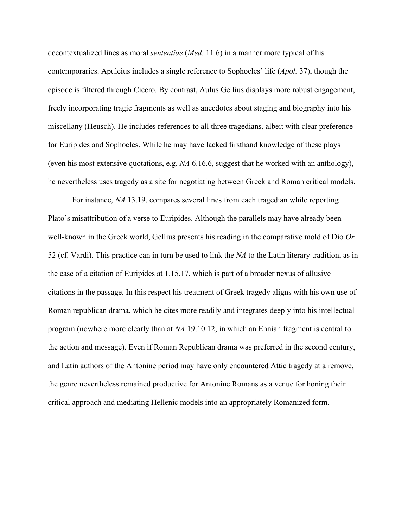decontextualized lines as moral *sententiae* (*Med*. 11.6) in a manner more typical of his contemporaries. Apuleius includes a single reference to Sophocles' life (*Apol.* 37), though the episode is filtered through Cicero. By contrast, Aulus Gellius displays more robust engagement, freely incorporating tragic fragments as well as anecdotes about staging and biography into his miscellany (Heusch). He includes references to all three tragedians, albeit with clear preference for Euripides and Sophocles. While he may have lacked firsthand knowledge of these plays (even his most extensive quotations, e.g. *NA* 6.16.6, suggest that he worked with an anthology), he nevertheless uses tragedy as a site for negotiating between Greek and Roman critical models.

For instance, *NA* 13.19, compares several lines from each tragedian while reporting Plato's misattribution of a verse to Euripides. Although the parallels may have already been well-known in the Greek world, Gellius presents his reading in the comparative mold of Dio *Or.*  52 (cf. Vardi). This practice can in turn be used to link the *NA* to the Latin literary tradition, as in the case of a citation of Euripides at 1.15.17, which is part of a broader nexus of allusive citations in the passage. In this respect his treatment of Greek tragedy aligns with his own use of Roman republican drama, which he cites more readily and integrates deeply into his intellectual program (nowhere more clearly than at *NA* 19.10.12, in which an Ennian fragment is central to the action and message). Even if Roman Republican drama was preferred in the second century, and Latin authors of the Antonine period may have only encountered Attic tragedy at a remove, the genre nevertheless remained productive for Antonine Romans as a venue for honing their critical approach and mediating Hellenic models into an appropriately Romanized form.